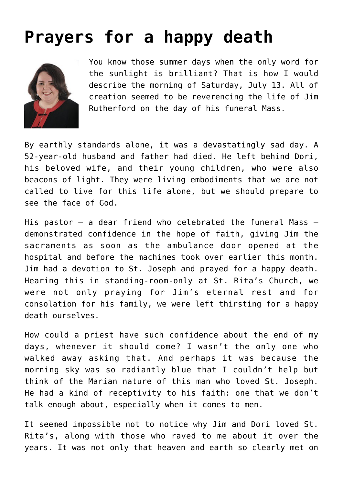## **[Prayers for a happy death](https://www.osvnews.com/2019/07/15/prayers-for-a-happy-death/)**



You know those summer days when the only word for the sunlight is brilliant? That is how I would describe the morning of Saturday, July 13. All of creation seemed to be reverencing the life of Jim Rutherford on the day of his funeral Mass.

By earthly standards alone, it was a devastatingly sad day. A 52-year-old husband and father had died. He left behind Dori, his beloved wife, and their young children, who were also beacons of light. They were living embodiments that we are not called to live for this life alone, but we should prepare to see the face of God.

His pastor — a dear friend who celebrated the funeral Mass demonstrated confidence in the hope of faith, giving Jim the sacraments as soon as the ambulance door opened at the hospital and before the machines took over earlier this month. Jim had a devotion to St. Joseph and prayed for a happy death. Hearing this in standing-room-only at St. Rita's Church, we were not only praying for Jim's eternal rest and for consolation for his family, we were left thirsting for a happy death ourselves.

How could a priest have such confidence about the end of my days, whenever it should come? I wasn't the only one who walked away asking that. And perhaps it was because the morning sky was so radiantly blue that I couldn't help but think of the Marian nature of this man who loved St. Joseph. He had a kind of receptivity to his faith: one that we don't talk enough about, especially when it comes to men.

It seemed impossible not to notice why Jim and Dori loved St. Rita's, along with those who raved to me about it over the years. It was not only that heaven and earth so clearly met on